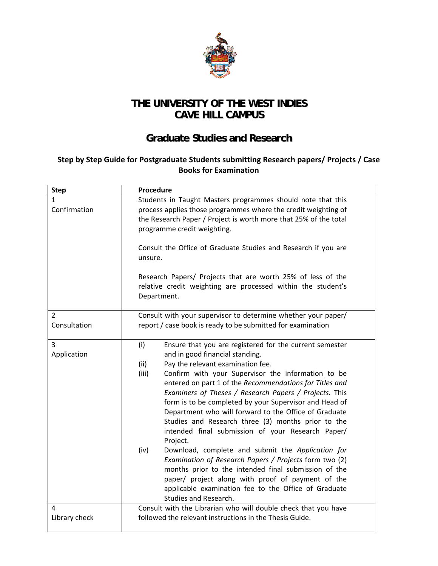

## **THE UNIVERSITY OF THE WEST INDIES CAVE HILL CAMPUS**

## **Graduate Studies and Research**

## **Step by Step Guide for Postgraduate Students submitting Research papers/ Projects / Case Books for Examination**

| <b>Step</b>                    | Procedure                                                                                                                                                                                                                                                                                                                                                                                                                                                                                                                                                                                                                                                                                                                                                                                                                                                                                         |
|--------------------------------|---------------------------------------------------------------------------------------------------------------------------------------------------------------------------------------------------------------------------------------------------------------------------------------------------------------------------------------------------------------------------------------------------------------------------------------------------------------------------------------------------------------------------------------------------------------------------------------------------------------------------------------------------------------------------------------------------------------------------------------------------------------------------------------------------------------------------------------------------------------------------------------------------|
| 1<br>Confirmation              | Students in Taught Masters programmes should note that this<br>process applies those programmes where the credit weighting of<br>the Research Paper / Project is worth more that 25% of the total<br>programme credit weighting.                                                                                                                                                                                                                                                                                                                                                                                                                                                                                                                                                                                                                                                                  |
|                                | Consult the Office of Graduate Studies and Research if you are<br>unsure.                                                                                                                                                                                                                                                                                                                                                                                                                                                                                                                                                                                                                                                                                                                                                                                                                         |
|                                | Research Papers/ Projects that are worth 25% of less of the<br>relative credit weighting are processed within the student's<br>Department.                                                                                                                                                                                                                                                                                                                                                                                                                                                                                                                                                                                                                                                                                                                                                        |
| $\overline{2}$<br>Consultation | Consult with your supervisor to determine whether your paper/<br>report / case book is ready to be submitted for examination                                                                                                                                                                                                                                                                                                                                                                                                                                                                                                                                                                                                                                                                                                                                                                      |
| 3<br>Application               | (i)<br>Ensure that you are registered for the current semester<br>and in good financial standing.<br>(ii)<br>Pay the relevant examination fee.<br>(iii)<br>Confirm with your Supervisor the information to be<br>entered on part 1 of the Recommendations for Titles and<br>Examiners of Theses / Research Papers / Projects. This<br>form is to be completed by your Supervisor and Head of<br>Department who will forward to the Office of Graduate<br>Studies and Research three (3) months prior to the<br>intended final submission of your Research Paper/<br>Project.<br>(iv)<br>Download, complete and submit the Application for<br>Examination of Research Papers / Projects form two (2)<br>months prior to the intended final submission of the<br>paper/ project along with proof of payment of the<br>applicable examination fee to the Office of Graduate<br>Studies and Research. |
| 4<br>Library check             | Consult with the Librarian who will double check that you have<br>followed the relevant instructions in the Thesis Guide.                                                                                                                                                                                                                                                                                                                                                                                                                                                                                                                                                                                                                                                                                                                                                                         |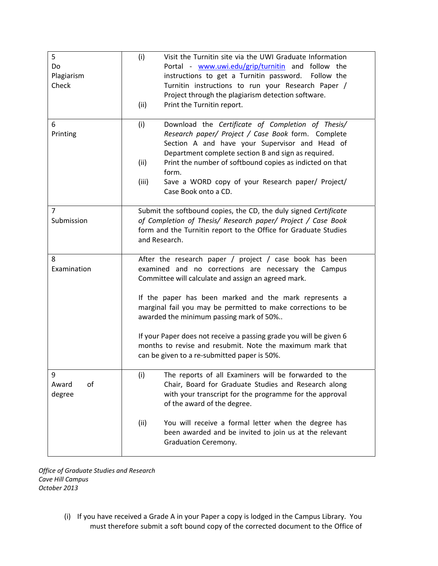| 5<br>Do<br>Plagiarism<br>Check | (i)<br>Visit the Turnitin site via the UWI Graduate Information<br>Portal - www.uwi.edu/grip/turnitin and follow the<br>instructions to get a Turnitin password. Follow the<br>Turnitin instructions to run your Research Paper /<br>Project through the plagiarism detection software.<br>(ii)<br>Print the Turnitin report.                                                                                                                                                                                                  |
|--------------------------------|--------------------------------------------------------------------------------------------------------------------------------------------------------------------------------------------------------------------------------------------------------------------------------------------------------------------------------------------------------------------------------------------------------------------------------------------------------------------------------------------------------------------------------|
| 6<br>Printing                  | (i)<br>Download the Certificate of Completion of Thesis/<br>Research paper/ Project / Case Book form. Complete<br>Section A and have your Supervisor and Head of<br>Department complete section B and sign as required.<br>(ii)<br>Print the number of softbound copies as indicted on that<br>form.<br>(iii)<br>Save a WORD copy of your Research paper/ Project/<br>Case Book onto a CD.                                                                                                                                     |
| $\overline{7}$<br>Submission   | Submit the softbound copies, the CD, the duly signed Certificate<br>of Completion of Thesis/ Research paper/ Project / Case Book<br>form and the Turnitin report to the Office for Graduate Studies<br>and Research.                                                                                                                                                                                                                                                                                                           |
| 8<br>Examination               | After the research paper / project / case book has been<br>examined and no corrections are necessary the Campus<br>Committee will calculate and assign an agreed mark.<br>If the paper has been marked and the mark represents a<br>marginal fail you may be permitted to make corrections to be<br>awarded the minimum passing mark of 50%<br>If your Paper does not receive a passing grade you will be given 6<br>months to revise and resubmit. Note the maximum mark that<br>can be given to a re-submitted paper is 50%. |
| 9<br>Award<br>оf<br>degree     | (i)<br>The reports of all Examiners will be forwarded to the<br>Chair, Board for Graduate Studies and Research along<br>with your transcript for the programme for the approval<br>of the award of the degree.<br>(ii)<br>You will receive a formal letter when the degree has<br>been awarded and be invited to join us at the relevant<br><b>Graduation Ceremony.</b>                                                                                                                                                        |

*Office of Graduate Studies and Research Cave Hill Campus October 2013*

> (i) If you have received a Grade A in your Paper a copy is lodged in the Campus Library. You must therefore submit a soft bound copy of the corrected document to the Office of